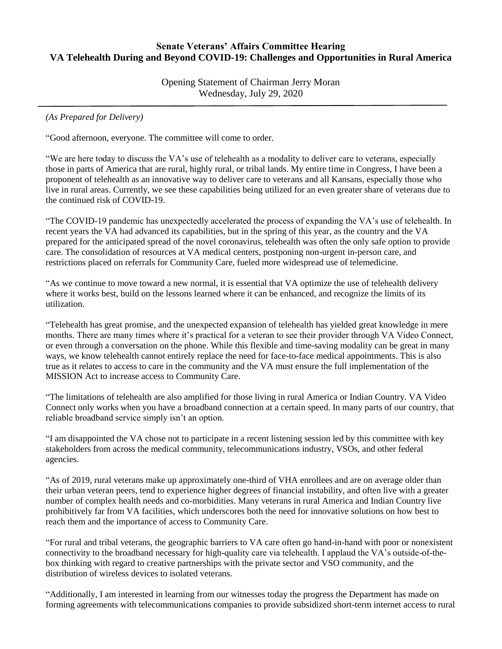## **Senate Veterans' Affairs Committee Hearing VA Telehealth During and Beyond COVID-19: Challenges and Opportunities in Rural America**

Opening Statement of Chairman Jerry Moran Wednesday, July 29, 2020

*(As Prepared for Delivery)*

"Good afternoon, everyone. The committee will come to order.

"We are here today to discuss the VA's use of telehealth as a modality to deliver care to veterans, especially those in parts of America that are rural, highly rural, or tribal lands. My entire time in Congress, I have been a proponent of telehealth as an innovative way to deliver care to veterans and all Kansans, especially those who live in rural areas. Currently, we see these capabilities being utilized for an even greater share of veterans due to the continued risk of COVID-19.

"The COVID-19 pandemic has unexpectedly accelerated the process of expanding the VA's use of telehealth. In recent years the VA had advanced its capabilities, but in the spring of this year, as the country and the VA prepared for the anticipated spread of the novel coronavirus, telehealth was often the only safe option to provide care. The consolidation of resources at VA medical centers, postponing non-urgent in-person care, and restrictions placed on referrals for Community Care, fueled more widespread use of telemedicine.

"As we continue to move toward a new normal, it is essential that VA optimize the use of telehealth delivery where it works best, build on the lessons learned where it can be enhanced, and recognize the limits of its utilization.

"Telehealth has great promise, and the unexpected expansion of telehealth has yielded great knowledge in mere months. There are many times where it's practical for a veteran to see their provider through VA Video Connect, or even through a conversation on the phone. While this flexible and time-saving modality can be great in many ways, we know telehealth cannot entirely replace the need for face-to-face medical appointments. This is also true as it relates to access to care in the community and the VA must ensure the full implementation of the MISSION Act to increase access to Community Care.

"The limitations of telehealth are also amplified for those living in rural America or Indian Country. VA Video Connect only works when you have a broadband connection at a certain speed. In many parts of our country, that reliable broadband service simply isn't an option.

"I am disappointed the VA chose not to participate in a recent listening session led by this committee with key stakeholders from across the medical community, telecommunications industry, VSOs, and other federal agencies.

"As of 2019, rural veterans make up approximately one-third of VHA enrollees and are on average older than their urban veteran peers, tend to experience higher degrees of financial instability, and often live with a greater number of complex health needs and co-morbidities. Many veterans in rural America and Indian Country live prohibitively far from VA facilities, which underscores both the need for innovative solutions on how best to reach them and the importance of access to Community Care.

"For rural and tribal veterans, the geographic barriers to VA care often go hand-in-hand with poor or nonexistent connectivity to the broadband necessary for high-quality care via telehealth. I applaud the VA's outside-of-thebox thinking with regard to creative partnerships with the private sector and VSO community, and the distribution of wireless devices to isolated veterans.

"Additionally, I am interested in learning from our witnesses today the progress the Department has made on forming agreements with telecommunications companies to provide subsidized short-term internet access to rural